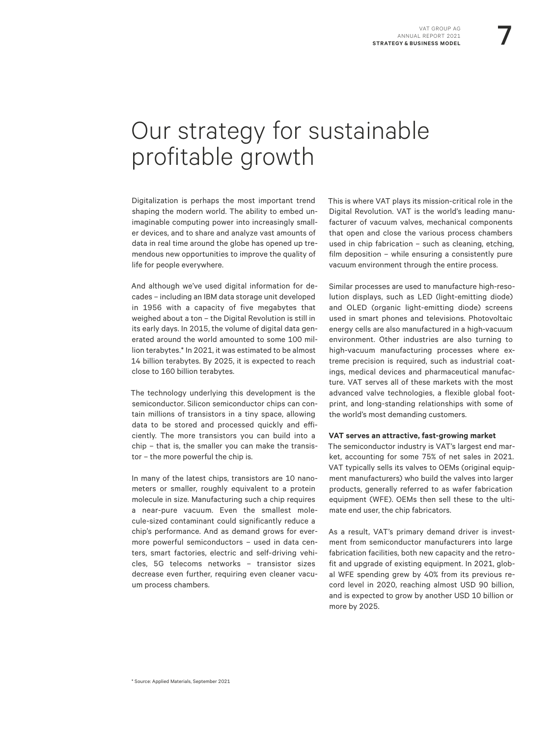# Our strategy for sustainable profitable growth

Digitalization is perhaps the most important trend shaping the modern world. The ability to embed unimaginable computing power into increasingly smaller devices, and to share and analyze vast amounts of data in real time around the globe has opened up tremendous new opportunities to improve the quality of life for people everywhere.

And although we've used digital information for decades – including an IBM data storage unit developed in 1956 with a capacity of five megabytes that weighed about a ton – the Digital Revolution is still in its early days. In 2015, the volume of digital data generated around the world amounted to some 100 million terabytes.\* In 2021, it was estimated to be almost 14 billion terabytes. By 2025, it is expected to reach close to 160 billion terabytes.

The technology underlying this development is the semiconductor. Silicon semiconductor chips can contain millions of transistors in a tiny space, allowing data to be stored and processed quickly and efficiently. The more transistors you can build into a chip – that is, the smaller you can make the transistor – the more powerful the chip is.

In many of the latest chips, transistors are 10 nanometers or smaller, roughly equivalent to a protein molecule in size. Manufacturing such a chip requires a near-pure vacuum. Even the smallest molecule-sized contaminant could significantly reduce a chip's performance. And as demand grows for evermore powerful semiconductors – used in data centers, smart factories, electric and self-driving vehicles, 5G telecoms networks – transistor sizes decrease even further, requiring even cleaner vacuum process chambers.

This is where VAT plays its mission-critical role in the Digital Revolution. VAT is the world's leading manufacturer of vacuum valves, mechanical components that open and close the various process chambers used in chip fabrication – such as cleaning, etching, film deposition – while ensuring a consistently pure vacuum environment through the entire process.

Similar processes are used to manufacture high-resolution displays, such as LED (light-emitting diode) and OLED (organic light-emitting diode) screens used in smart phones and televisions. Photovoltaic energy cells are also manufactured in a high-vacuum environment. Other industries are also turning to high-vacuum manufacturing processes where extreme precision is required, such as industrial coatings, medical devices and pharmaceutical manufacture. VAT serves all of these markets with the most advanced valve technologies, a flexible global footprint, and long-standing relationships with some of the world's most demanding customers.

#### **VAT serves an attractive, fast-growing market**

The semiconductor industry is VAT's largest end market, accounting for some 75% of net sales in 2021. VAT typically sells its valves to OEMs (original equipment manufacturers) who build the valves into larger products, generally referred to as wafer fabrication equipment (WFE). OEMs then sell these to the ultimate end user, the chip fabricators.

As a result, VAT's primary demand driver is investment from semiconductor manufacturers into large fabrication facilities, both new capacity and the retrofit and upgrade of existing equipment. In 2021, global WFE spending grew by 40% from its previous record level in 2020, reaching almost USD 90 billion, and is expected to grow by another USD 10 billion or more by 2025.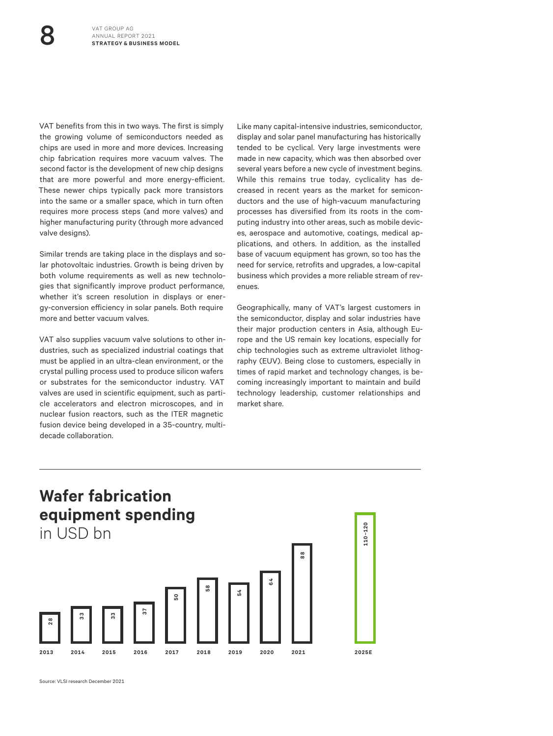VAT benefits from this in two ways. The first is simply the growing volume of semiconductors needed as chips are used in more and more devices. Increasing chip fabrication requires more vacuum valves. The second factor is the development of new chip designs that are more powerful and more energy-efficient. These newer chips typically pack more transistors into the same or a smaller space, which in turn often requires more process steps (and more valves) and higher manufacturing purity (through more advanced valve designs).

Similar trends are taking place in the displays and solar photovoltaic industries. Growth is being driven by both volume requirements as well as new technologies that significantly improve product performance, whether it's screen resolution in displays or energy-conversion efficiency in solar panels. Both require more and better vacuum valves.

VAT also supplies vacuum valve solutions to other industries, such as specialized industrial coatings that must be applied in an ultra-clean environment, or the crystal pulling process used to produce silicon wafers or substrates for the semiconductor industry. VAT valves are used in scientific equipment, such as particle accelerators and electron microscopes, and in nuclear fusion reactors, such as the ITER magnetic fusion device being developed in a 35-country, multidecade collaboration.

Like many capital-intensive industries, semiconductor, display and solar panel manufacturing has historically tended to be cyclical. Very large investments were made in new capacity, which was then absorbed over several years before a new cycle of investment begins. While this remains true today, cyclicality has decreased in recent years as the market for semiconductors and the use of high-vacuum manufacturing processes has diversified from its roots in the computing industry into other areas, such as mobile devices, aerospace and automotive, coatings, medical applications, and others. In addition, as the installed base of vacuum equipment has grown, so too has the need for service, retrofits and upgrades, a low-capital business which provides a more reliable stream of revenues.

Geographically, many of VAT's largest customers in the semiconductor, display and solar industries have their major production centers in Asia, although Europe and the US remain key locations, especially for chip technologies such as extreme ultraviolet lithography (EUV). Being close to customers, especially in times of rapid market and technology changes, is becoming increasingly important to maintain and build technology leadership, customer relationships and market share.

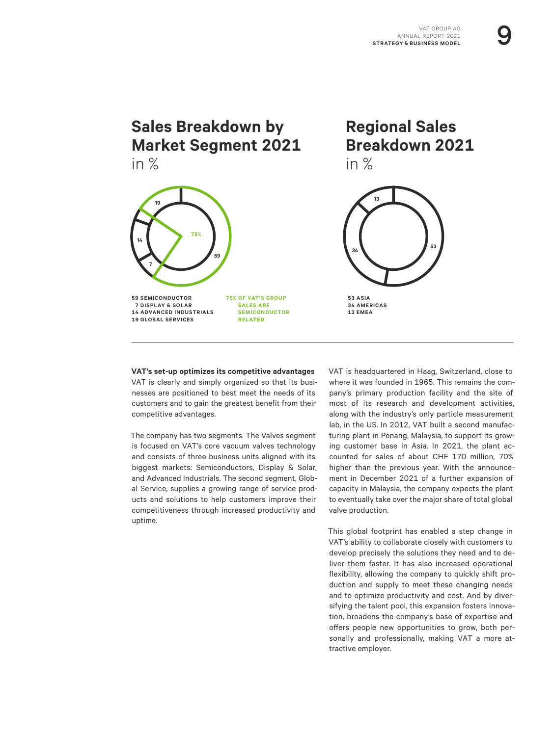## **Sales Breakdown by Market Segment 2021** in %



**SALES ARE SEMICONDUCTOR RELATED**

**Regional Sales Breakdown 2021** in %



**53 ASIA 34 AMERICAS 13 EMEA**

**VAT's set-up optimizes its competitive advantages** VAT is clearly and simply organized so that its businesses are positioned to best meet the needs of its customers and to gain the greatest benefit from their competitive advantages.

The company has two segments. The Valves segment is focused on VAT's core vacuum valves technology and consists of three business units aligned with its biggest markets: Semiconductors, Display & Solar, and Advanced Industrials. The second segment, Global Service, supplies a growing range of service products and solutions to help customers improve their competitiveness through increased productivity and uptime.

VAT is headquartered in Haag, Switzerland, close to where it was founded in 1965. This remains the company's primary production facility and the site of most of its research and development activities, along with the industry's only particle measurement lab, in the US. In 2012, VAT built a second manufacturing plant in Penang, Malaysia, to support its growing customer base in Asia. In 2021, the plant accounted for sales of about CHF 170 million, 70% higher than the previous year. With the announcement in December 2021 of a further expansion of capacity in Malaysia, the company expects the plant to eventually take over the major share of total global valve production.

This global footprint has enabled a step change in VAT's ability to collaborate closely with customers to develop precisely the solutions they need and to deliver them faster. It has also increased operational flexibility, allowing the company to quickly shift production and supply to meet these changing needs and to optimize productivity and cost. And by diversifying the talent pool, this expansion fosters innovation, broadens the company's base of expertise and offers people new opportunities to grow, both personally and professionally, making VAT a more attractive employer.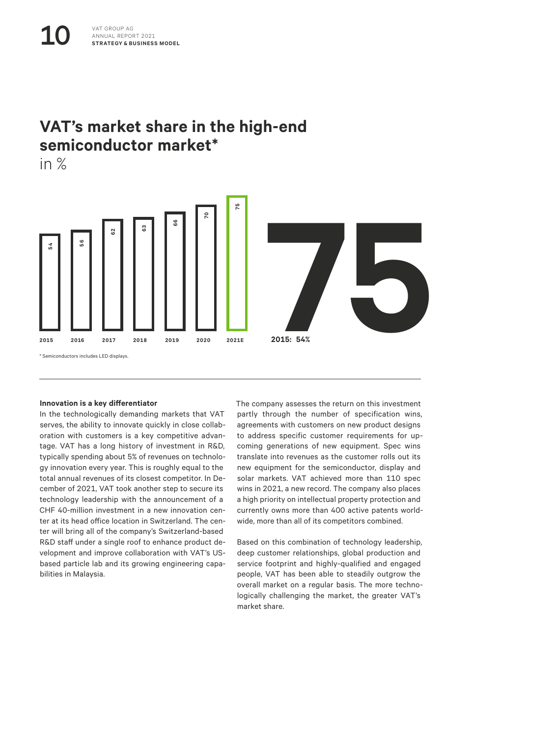## **VAT's market share in the high-end semiconductor market\***

in %



#### **Innovation is a key differentiator**

In the technologically demanding markets that VAT serves, the ability to innovate quickly in close collaboration with customers is a key competitive advantage. VAT has a long history of investment in R&D, typically spending about 5% of revenues on technology innovation every year. This is roughly equal to the total annual revenues of its closest competitor. In December of 2021, VAT took another step to secure its technology leadership with the announcement of a CHF 40-million investment in a new innovation center at its head office location in Switzerland. The center will bring all of the company's Switzerland-based R&D staff under a single roof to enhance product development and improve collaboration with VAT's USbased particle lab and its growing engineering capabilities in Malaysia.

The company assesses the return on this investment partly through the number of specification wins, agreements with customers on new product designs to address specific customer requirements for upcoming generations of new equipment. Spec wins translate into revenues as the customer rolls out its new equipment for the semiconductor, display and solar markets. VAT achieved more than 110 spec wins in 2021, a new record. The company also places a high priority on intellectual property protection and currently owns more than 400 active patents worldwide, more than all of its competitors combined.

Based on this combination of technology leadership, deep customer relationships, global production and service footprint and highly-qualified and engaged people, VAT has been able to steadily outgrow the overall market on a regular basis. The more technologically challenging the market, the greater VAT's market share.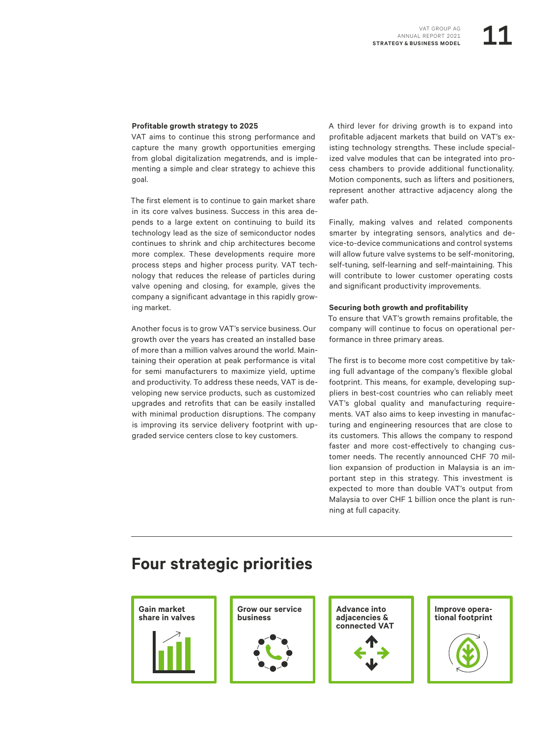#### **Profitable growth strategy to 2025**

VAT aims to continue this strong performance and capture the many growth opportunities emerging from global digitalization megatrends, and is implementing a simple and clear strategy to achieve this goal.

The first element is to continue to gain market share in its core valves business. Success in this area depends to a large extent on continuing to build its technology lead as the size of semiconductor nodes continues to shrink and chip architectures become more complex. These developments require more process steps and higher process purity. VAT technology that reduces the release of particles during valve opening and closing, for example, gives the company a significant advantage in this rapidly growing market.

Another focus is to grow VAT's service business. Our growth over the years has created an installed base of more than a million valves around the world. Maintaining their operation at peak performance is vital for semi manufacturers to maximize yield, uptime and productivity. To address these needs, VAT is developing new service products, such as customized upgrades and retrofits that can be easily installed with minimal production disruptions. The company is improving its service delivery footprint with upgraded service centers close to key customers.

A third lever for driving growth is to expand into profitable adjacent markets that build on VAT's existing technology strengths. These include specialized valve modules that can be integrated into process chambers to provide additional functionality. Motion components, such as lifters and positioners, represent another attractive adjacency along the wafer path.

Finally, making valves and related components smarter by integrating sensors, analytics and device-to-device communications and control systems will allow future valve systems to be self-monitoring, self-tuning, self-learning and self-maintaining. This will contribute to lower customer operating costs and significant productivity improvements.

#### **Securing both growth and profitability**

To ensure that VAT's growth remains profitable, the company will continue to focus on operational performance in three primary areas.

The first is to become more cost competitive by taking full advantage of the company's flexible global footprint. This means, for example, developing suppliers in best-cost countries who can reliably meet VAT's global quality and manufacturing requirements. VAT also aims to keep investing in manufacturing and engineering resources that are close to its customers. This allows the company to respond faster and more cost-effectively to changing customer needs. The recently announced CHF 70 million expansion of production in Malaysia is an important step in this strategy. This investment is expected to more than double VAT's output from Malaysia to over CHF 1 billion once the plant is running at full capacity.

### **Four strategic priorities**







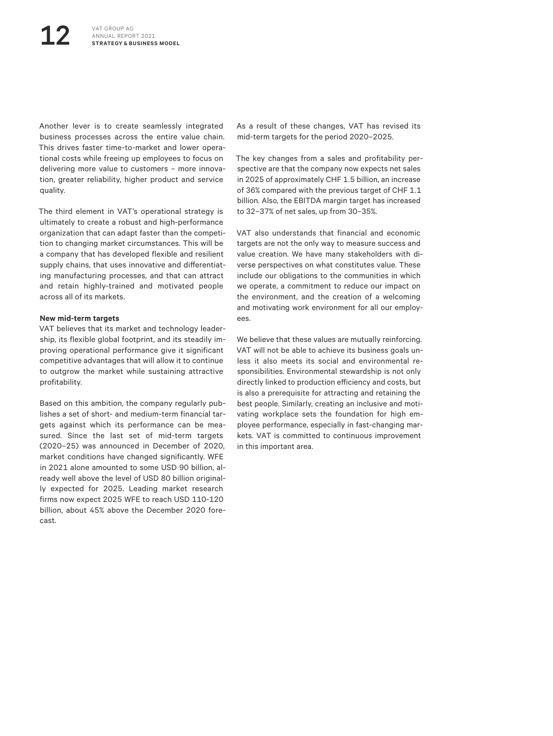Another lever is to create seamlessly integrated business processes across the entire value chain. This drives faster time-to-market and lower operational costs while freeing up employees to focus on delivering more value to customers – more innovation, greater reliability, higher product and service quality.

The third element in VAT's operational strategy is ultimately to create a robust and high-performance organization that can adapt faster than the competition to changing market circumstances. This will be a company that has developed flexible and resilient supply chains, that uses innovative and differentiating manufacturing processes, and that can attract and retain highly-trained and motivated people across all of its markets.

#### **New mid-term targets**

VAT believes that its market and technology leadership, its flexible global footprint, and its steadily improving operational performance give it significant competitive advantages that will allow it to continue to outgrow the market while sustaining attractive profitability.

Based on this ambition, the company regularly publishes a set of short- and medium-term financial targets against which its performance can be measured. Since the last set of mid-term targets (2020–25) was announced in December of 2020, market conditions have changed significantly. WFE in 2021 alone amounted to some USD 90 billion, already well above the level of USD 80 billion originally expected for 2025. Leading market research firms now expect 2025 WFE to reach USD 110-120 billion, about 45% above the December 2020 forecast.

As a result of these changes, VAT has revised its mid-term targets for the period 2020–2025.

The key changes from a sales and profitability perspective are that the company now expects net sales in 2025 of approximately CHF 1.5 billion, an increase of 36% compared with the previous target of CHF 1.1 billion. Also, the EBITDA margin target has increased to 32–37% of net sales, up from 30–35%.

VAT also understands that financial and economic targets are not the only way to measure success and value creation. We have many stakeholders with diverse perspectives on what constitutes value. These include our obligations to the communities in which we operate, a commitment to reduce our impact on the environment, and the creation of a welcoming and motivating work environment for all our employees.

We believe that these values are mutually reinforcing. VAT will not be able to achieve its business goals unless it also meets its social and environmental responsibilities. Environmental stewardship is not only directly linked to production efficiency and costs, but is also a prerequisite for attracting and retaining the best people. Similarly, creating an inclusive and motivating workplace sets the foundation for high employee performance, especially in fast-changing markets. VAT is committed to continuous improvement in this important area.